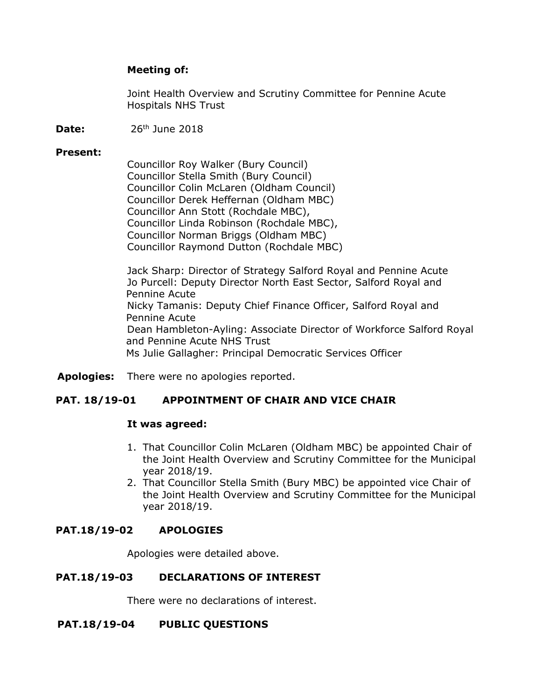## **Meeting of:**

Joint Health Overview and Scrutiny Committee for Pennine Acute Hospitals NHS Trust

**Date:** 26<sup>th</sup> June 2018

### **Present:**

Councillor Roy Walker (Bury Council) Councillor Stella Smith (Bury Council) Councillor Colin McLaren (Oldham Council) Councillor Derek Heffernan (Oldham MBC) Councillor Ann Stott (Rochdale MBC), Councillor Linda Robinson (Rochdale MBC), Councillor Norman Briggs (Oldham MBC) Councillor Raymond Dutton (Rochdale MBC)

Jack Sharp: Director of Strategy Salford Royal and Pennine Acute Jo Purcell: Deputy Director North East Sector, Salford Royal and Pennine Acute Nicky Tamanis: Deputy Chief Finance Officer, Salford Royal and Pennine Acute Dean Hambleton-Ayling: Associate Director of Workforce Salford Royal and Pennine Acute NHS Trust Ms Julie Gallagher: Principal Democratic Services Officer

**Apologies:** There were no apologies reported.

# **PAT. 18/19-01 APPOINTMENT OF CHAIR AND VICE CHAIR**

### **It was agreed:**

- 1. That Councillor Colin McLaren (Oldham MBC) be appointed Chair of the Joint Health Overview and Scrutiny Committee for the Municipal year 2018/19.
- 2. That Councillor Stella Smith (Bury MBC) be appointed vice Chair of the Joint Health Overview and Scrutiny Committee for the Municipal year 2018/19.

# **PAT.18/19-02 APOLOGIES**

Apologies were detailed above.

# **PAT.18/19-03 DECLARATIONS OF INTEREST**

There were no declarations of interest.

### **PAT.18/19-04 PUBLIC QUESTIONS**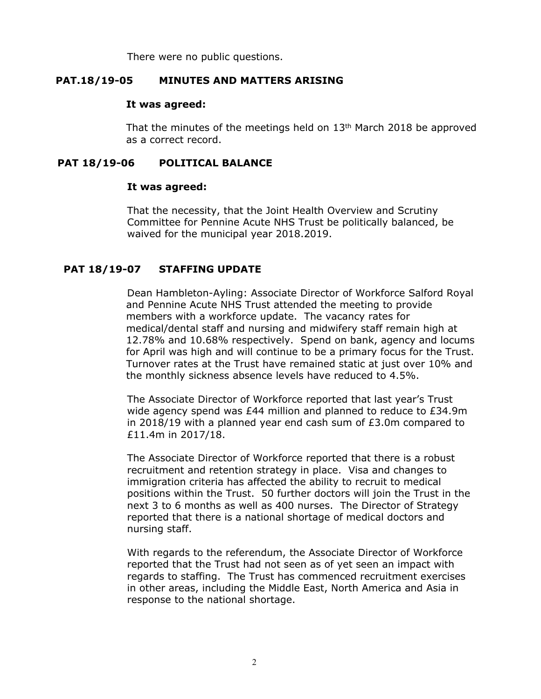There were no public questions.

## **PAT.18/19-05 MINUTES AND MATTERS ARISING**

### **It was agreed:**

That the minutes of the meetings held on  $13<sup>th</sup>$  March 2018 be approved as a correct record.

## **PAT 18/19-06 POLITICAL BALANCE**

### **It was agreed:**

That the necessity, that the Joint Health Overview and Scrutiny Committee for Pennine Acute NHS Trust be politically balanced, be waived for the municipal year 2018.2019.

# **PAT 18/19-07 STAFFING UPDATE**

Dean Hambleton-Ayling: Associate Director of Workforce Salford Royal and Pennine Acute NHS Trust attended the meeting to provide members with a workforce update. The vacancy rates for medical/dental staff and nursing and midwifery staff remain high at 12.78% and 10.68% respectively. Spend on bank, agency and locums for April was high and will continue to be a primary focus for the Trust. Turnover rates at the Trust have remained static at just over 10% and the monthly sickness absence levels have reduced to 4.5%.

The Associate Director of Workforce reported that last year's Trust wide agency spend was £44 million and planned to reduce to £34.9m in 2018/19 with a planned year end cash sum of £3.0m compared to £11.4m in 2017/18.

The Associate Director of Workforce reported that there is a robust recruitment and retention strategy in place. Visa and changes to immigration criteria has affected the ability to recruit to medical positions within the Trust. 50 further doctors will join the Trust in the next 3 to 6 months as well as 400 nurses. The Director of Strategy reported that there is a national shortage of medical doctors and nursing staff.

With regards to the referendum, the Associate Director of Workforce reported that the Trust had not seen as of yet seen an impact with regards to staffing. The Trust has commenced recruitment exercises in other areas, including the Middle East, North America and Asia in response to the national shortage.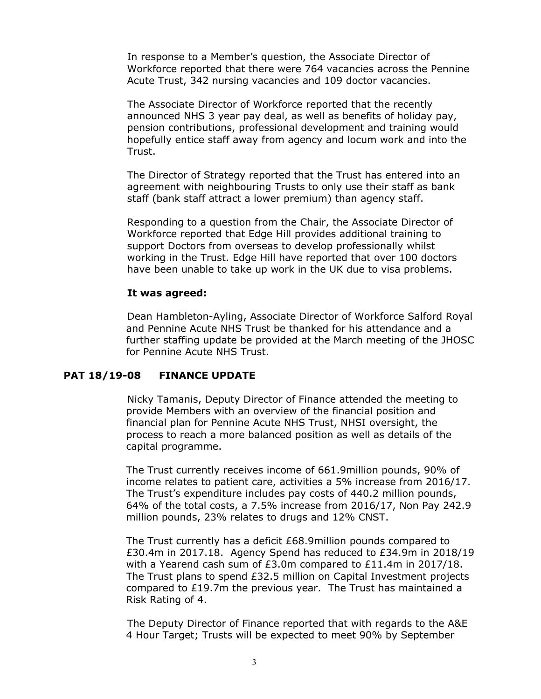In response to a Member's question, the Associate Director of Workforce reported that there were 764 vacancies across the Pennine Acute Trust, 342 nursing vacancies and 109 doctor vacancies.

The Associate Director of Workforce reported that the recently announced NHS 3 year pay deal, as well as benefits of holiday pay, pension contributions, professional development and training would hopefully entice staff away from agency and locum work and into the Trust.

The Director of Strategy reported that the Trust has entered into an agreement with neighbouring Trusts to only use their staff as bank staff (bank staff attract a lower premium) than agency staff.

Responding to a question from the Chair, the Associate Director of Workforce reported that Edge Hill provides additional training to support Doctors from overseas to develop professionally whilst working in the Trust. Edge Hill have reported that over 100 doctors have been unable to take up work in the UK due to visa problems.

### **It was agreed:**

Dean Hambleton-Ayling, Associate Director of Workforce Salford Royal and Pennine Acute NHS Trust be thanked for his attendance and a further staffing update be provided at the March meeting of the JHOSC for Pennine Acute NHS Trust.

### **PAT 18/19-08 FINANCE UPDATE**

Nicky Tamanis, Deputy Director of Finance attended the meeting to provide Members with an overview of the financial position and financial plan for Pennine Acute NHS Trust, NHSI oversight, the process to reach a more balanced position as well as details of the capital programme.

The Trust currently receives income of 661.9million pounds, 90% of income relates to patient care, activities a 5% increase from 2016/17. The Trust's expenditure includes pay costs of 440.2 million pounds, 64% of the total costs, a 7.5% increase from 2016/17, Non Pay 242.9 million pounds, 23% relates to drugs and 12% CNST.

The Trust currently has a deficit £68.9million pounds compared to £30.4m in 2017.18. Agency Spend has reduced to £34.9m in 2018/19 with a Yearend cash sum of £3.0m compared to £11.4m in 2017/18. The Trust plans to spend £32.5 million on Capital Investment projects compared to £19.7m the previous year. The Trust has maintained a Risk Rating of 4.

The Deputy Director of Finance reported that with regards to the A&E 4 Hour Target; Trusts will be expected to meet 90% by September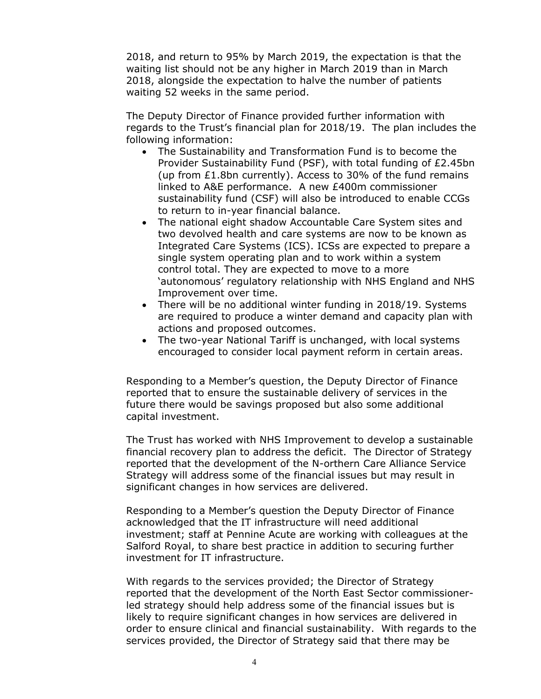2018, and return to 95% by March 2019, the expectation is that the waiting list should not be any higher in March 2019 than in March 2018, alongside the expectation to halve the number of patients waiting 52 weeks in the same period.

The Deputy Director of Finance provided further information with regards to the Trust's financial plan for 2018/19. The plan includes the following information:

- The Sustainability and Transformation Fund is to become the Provider Sustainability Fund (PSF), with total funding of £2.45bn (up from £1.8bn currently). Access to 30% of the fund remains linked to A&E performance. A new £400m commissioner sustainability fund (CSF) will also be introduced to enable CCGs to return to in-year financial balance.
- The national eight shadow Accountable Care System sites and two devolved health and care systems are now to be known as Integrated Care Systems (ICS). ICSs are expected to prepare a single system operating plan and to work within a system control total. They are expected to move to a more 'autonomous' regulatory relationship with NHS England and NHS Improvement over time.
- There will be no additional winter funding in 2018/19. Systems are required to produce a winter demand and capacity plan with actions and proposed outcomes.
- The two-year National Tariff is unchanged, with local systems encouraged to consider local payment reform in certain areas.

Responding to a Member's question, the Deputy Director of Finance reported that to ensure the sustainable delivery of services in the future there would be savings proposed but also some additional capital investment.

The Trust has worked with NHS Improvement to develop a sustainable financial recovery plan to address the deficit. The Director of Strategy reported that the development of the N-orthern Care Alliance Service Strategy will address some of the financial issues but may result in significant changes in how services are delivered.

Responding to a Member's question the Deputy Director of Finance acknowledged that the IT infrastructure will need additional investment; staff at Pennine Acute are working with colleagues at the Salford Royal, to share best practice in addition to securing further investment for IT infrastructure.

With regards to the services provided; the Director of Strategy reported that the development of the North East Sector commissionerled strategy should help address some of the financial issues but is likely to require significant changes in how services are delivered in order to ensure clinical and financial sustainability. With regards to the services provided, the Director of Strategy said that there may be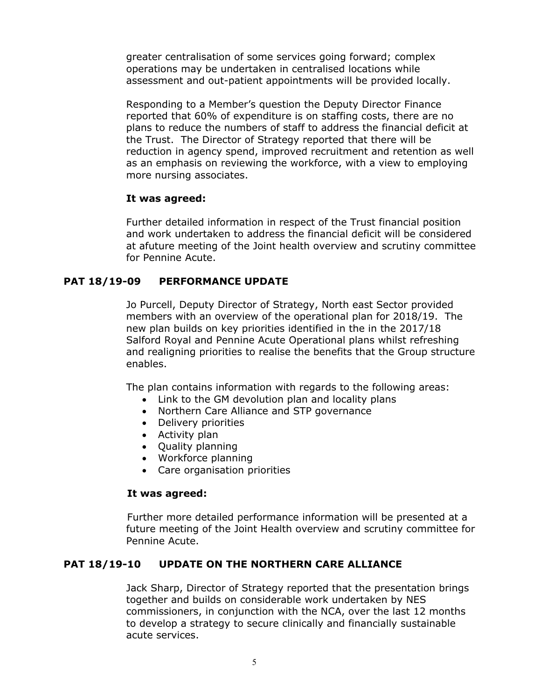greater centralisation of some services going forward; complex operations may be undertaken in centralised locations while assessment and out-patient appointments will be provided locally.

Responding to a Member's question the Deputy Director Finance reported that 60% of expenditure is on staffing costs, there are no plans to reduce the numbers of staff to address the financial deficit at the Trust. The Director of Strategy reported that there will be reduction in agency spend, improved recruitment and retention as well as an emphasis on reviewing the workforce, with a view to employing more nursing associates.

### **It was agreed:**

Further detailed information in respect of the Trust financial position and work undertaken to address the financial deficit will be considered at afuture meeting of the Joint health overview and scrutiny committee for Pennine Acute.

# **PAT 18/19-09 PERFORMANCE UPDATE**

Jo Purcell, Deputy Director of Strategy, North east Sector provided members with an overview of the operational plan for 2018/19. The new plan builds on key priorities identified in the in the 2017/18 Salford Royal and Pennine Acute Operational plans whilst refreshing and realigning priorities to realise the benefits that the Group structure enables.

The plan contains information with regards to the following areas:

- Link to the GM devolution plan and locality plans
- Northern Care Alliance and STP governance
- Delivery priorities
- Activity plan
- Quality planning
- Workforce planning
- Care organisation priorities

#### **It was agreed:**

Further more detailed performance information will be presented at a future meeting of the Joint Health overview and scrutiny committee for Pennine Acute.

# **PAT 18/19-10 UPDATE ON THE NORTHERN CARE ALLIANCE**

Jack Sharp, Director of Strategy reported that the presentation brings together and builds on considerable work undertaken by NES commissioners, in conjunction with the NCA, over the last 12 months to develop a strategy to secure clinically and financially sustainable acute services.